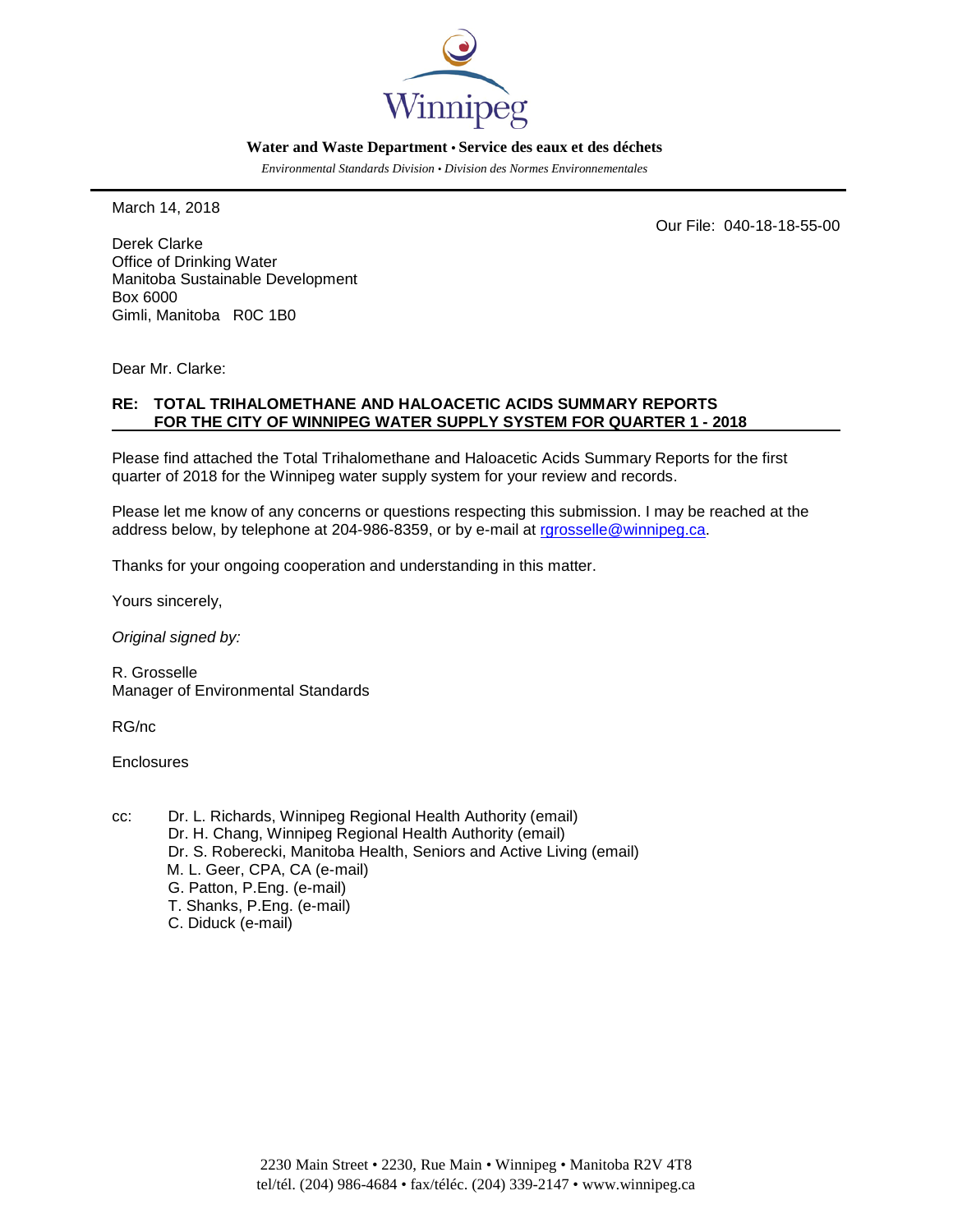

#### **Water and Waste Department • Service des eaux et des déchets**

*Environmental Standards Division • Division des Normes Environnementales*

March 14, 2018

Our File: 040-18-18-55-00

Derek Clarke Office of Drinking Water Manitoba Sustainable Development Box 6000 Gimli, Manitoba R0C 1B0

Dear Mr. Clarke:

#### **RE: TOTAL TRIHALOMETHANE AND HALOACETIC ACIDS SUMMARY REPORTS FOR THE CITY OF WINNIPEG WATER SUPPLY SYSTEM FOR QUARTER 1 - 2018**

Please find attached the Total Trihalomethane and Haloacetic Acids Summary Reports for the first quarter of 2018 for the Winnipeg water supply system for your review and records.

Please let me know of any concerns or questions respecting this submission. I may be reached at the address below, by telephone at 204-986-8359, or by e-mail at rarosselle@winnipeg.ca.

Thanks for your ongoing cooperation and understanding in this matter.

Yours sincerely,

*Original signed by:*

R. Grosselle Manager of Environmental Standards

RG/nc

**Enclosures** 

cc: Dr. L. Richards, Winnipeg Regional Health Authority (email) Dr. H. Chang, Winnipeg Regional Health Authority (email) Dr. S. Roberecki, Manitoba Health, Seniors and Active Living (email) M. L. Geer, CPA, CA (e-mail) G. Patton, P.Eng. (e-mail) T. Shanks, P.Eng. (e-mail) C. Diduck (e-mail)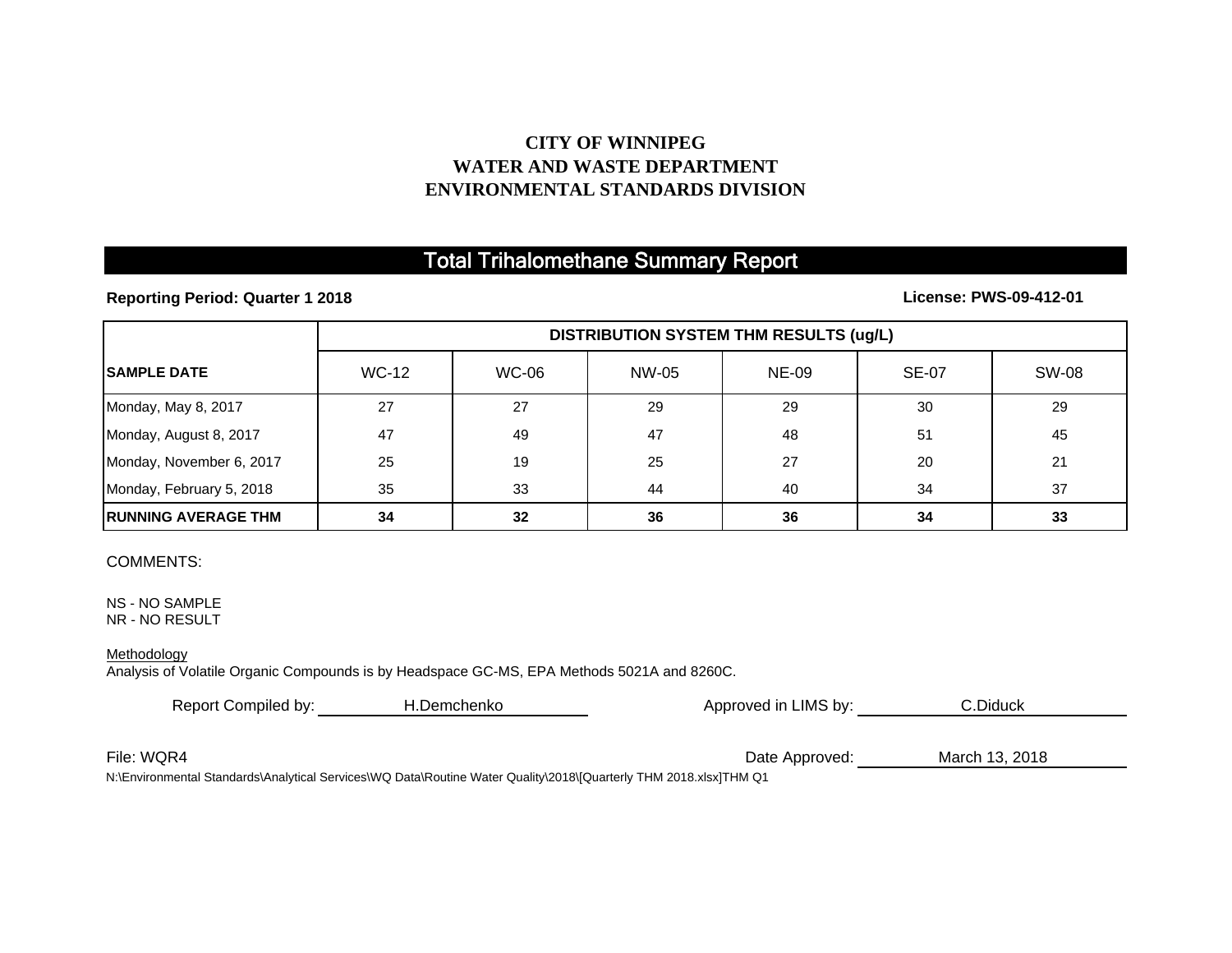## **CITY OF WINNIPEG WATER AND WASTE DEPARTMENTENVIRONMENTAL STANDARDS DIVISION**

# Total Trihalomethane Summary Report

### **Reporting Period: Quarter 1 2018**

### **License: PWS-09-412-01**

|                             | <b>DISTRIBUTION SYSTEM THM RESULTS (ug/L)</b> |              |       |              |              |              |
|-----------------------------|-----------------------------------------------|--------------|-------|--------------|--------------|--------------|
| <b>ISAMPLE DATE</b>         | <b>WC-12</b>                                  | <b>WC-06</b> | NW-05 | <b>NE-09</b> | <b>SE-07</b> | <b>SW-08</b> |
| Monday, May 8, 2017         | 27                                            | 27           | 29    | 29           | 30           | 29           |
| Monday, August 8, 2017      | 47                                            | 49           | 47    | 48           | 51           | 45           |
| Monday, November 6, 2017    | 25                                            | 19           | 25    | 27           | 20           | 21           |
| Monday, February 5, 2018    | 35                                            | 33           | 44    | 40           | 34           | 37           |
| <b>IRUNNING AVERAGE THM</b> | 34                                            | 32           | 36    | 36           | 34           | 33           |

#### COMMENTS:

NS - NO SAMPLE NR - NO RESULT

#### **Methodology**

Analysis of Volatile Organic Compounds is by Headspace GC-MS, EPA Methods 5021A and 8260C.

| Report Compiled by: | H.Demchenko | Approved in LIMS by: | C.Diduck       |  |
|---------------------|-------------|----------------------|----------------|--|
|                     |             |                      |                |  |
| File: WQR4          |             | Date Approved:       | March 13, 2018 |  |

N:\Environmental Standards\Analytical Services\WQ Data\Routine Water Quality\2018\[Quarterly THM 2018.xlsx]THM Q1